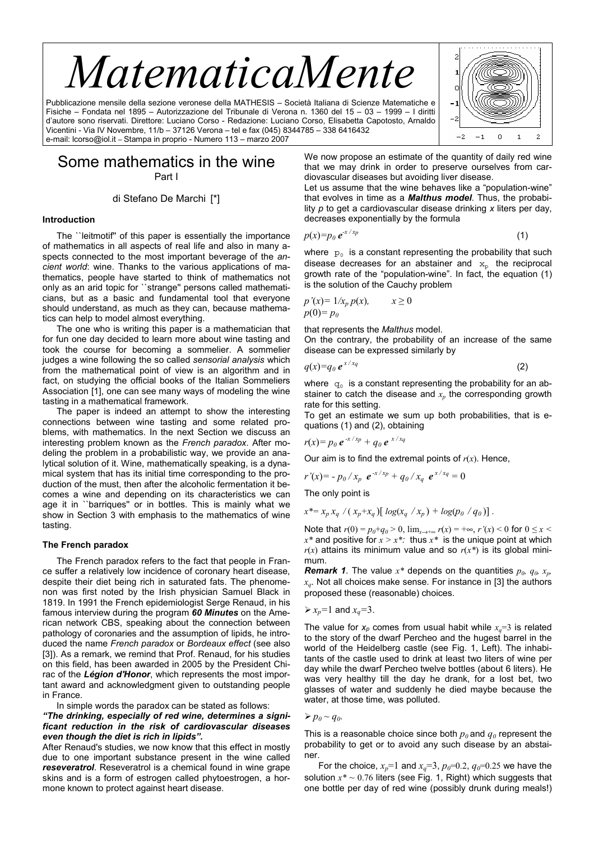# *MatematicaMente*

Pubblicazione mensile della sezione veronese della MATHESIS – Società Italiana di Scienze Matematiche e Fisiche – Fondata nel 1895 – Autorizzazione del Tribunale di Verona n. 1360 del 15 – 03 – 1999 – I diritti d'autore sono riservati. Direttore: Luciano Corso - Redazione: Luciano Corso, Elisabetta Capotosto, Arnaldo Vicentini - Via IV Novembre, 11/b – 37126 Verona – tel e fax (045) 8344785 – 338 6416432 e-mail: lcorso@iol.it – Stampa in proprio - Numero 113 – marzo 2007



## Some mathematics in the wine Part I

di Stefano De Marchi [\*]

#### **Introduction**

The ``leitmotif'' of this paper is essentially the importance of mathematics in all aspects of real life and also in many aspects connected to the most important beverage of the *ancient world*: wine. Thanks to the various applications of mathematics, people have started to think of mathematics not only as an arid topic for ``strange'' persons called mathematicians, but as a basic and fundamental tool that everyone should understand, as much as they can, because mathematics can help to model almost everything.

The one who is writing this paper is a mathematician that for fun one day decided to learn more about wine tasting and took the course for becoming a sommelier. A sommelier judges a wine following the so called *sensorial analysis* which from the mathematical point of view is an algorithm and in fact, on studying the official books of the Italian Sommeliers Association [1], one can see many ways of modeling the wine tasting in a mathematical framework.

The paper is indeed an attempt to show the interesting connections between wine tasting and some related problems, with mathematics. In the next Section we discuss an interesting problem known as the *French paradox*. After modeling the problem in a probabilistic way, we provide an analytical solution of it. Wine, mathematically speaking, is a dynamical system that has its initial time corresponding to the production of the must, then after the alcoholic fermentation it becomes a wine and depending on its characteristics we can age it in ``barriques'' or in bottles. This is mainly what we show in Section 3 with emphasis to the mathematics of wine tasting.

#### **The French paradox**

The French paradox refers to the fact that people in France suffer a relatively low incidence of coronary heart disease, despite their diet being rich in saturated fats. The phenomenon was first noted by the Irish physician Samuel Black in 1819. In 1991 the French epidemiologist Serge Renaud, in his famous interview during the program *60 Minutes* on the American network CBS, speaking about the connection between pathology of coronaries and the assumption of lipids, he introduced the name *French paradox* or *Bordeaux effect* (see also [3]). As a remark, we remind that Prof. Renaud, for his studies on this field, has been awarded in 2005 by the President Chirac of the *Légion d'Honor*, which represents the most important award and acknowledgment given to outstanding people in France.

In simple words the paradox can be stated as follows:

*"The drinking, especially of red wine, determines a significant reduction in the risk of cardiovascular diseases even though the diet is rich in lipids".* 

After Renaud's studies, we now know that this effect in mostly due to one important substance present in the wine called *reseveratrol*. Reseveratrol is a chemical found in wine grape skins and is a form of estrogen called phytoestrogen, a hormone known to protect against heart disease.

We now propose an estimate of the quantity of daily red wine that we may drink in order to preserve ourselves from cardiovascular diseases but avoiding liver disease.

Let us assume that the wine behaves like a "population-wine" that evolves in time as a *Malthus model*. Thus, the probability *p* to get a cardiovascular disease drinking *x* liters per day, decreases exponentially by the formula

$$
p(x)=p_0 e^{x/x_p} \tag{1}
$$

where  $p_0$  is a constant representing the probability that such disease decreases for an abstainer and *xp* the reciprocal growth rate of the "population-wine". In fact, the equation (1) is the solution of the Cauchy problem

$$
p'(x) = 1/x_p p(x), \qquad x \ge 0
$$
  

$$
p(0) = p_0
$$

that represents the *Malthus* model.

On the contrary, the probability of an increase of the same disease can be expressed similarly by

$$
q(x)=q_0 e^{x/xq}
$$
 (2)

where  $q_0$  is a constant representing the probability for an abstainer to catch the disease and  $x_p$  the corresponding growth rate for this setting.

To get an estimate we sum up both probabilities, that is equations (1) and (2), obtaining

$$
r(x) = p_0 e^{-x/x_p} + q_0 e^{-x/x_q}
$$

Our aim is to find the extremal points of  $r(x)$ . Hence,

$$
r'(x) = -p_0 / x_p e^{-x / x_p} + q_0 / x_q e^{x / x_q} = 0
$$
  
The only point is

$$
x^* = x_p x_q / (x_p + x_q) [\log(x_q / x_p) + \log(p_0 / q_0)].
$$

Note that  $r(0) = p_0 + q_0 > 0$ ,  $\lim_{x \to +\infty} r(x) = +\infty$ ,  $r'(x) < 0$  for  $0 \le x <$  $x^*$  and positive for  $x > x^*$ : thus  $x^*$  is the unique point at which  $r(x)$  attains its minimum value and so  $r(x^*)$  is its global minimum.

*Remark 1.* The value  $x^*$  depends on the quantities  $p_0$ ,  $q_0$ ,  $x_p$ , *xq*. Not all choices make sense. For instance in [3] the authors proposed these (reasonable) choices.

$$
\triangleright x_p = 1 \text{ and } x_q = 3.
$$

The value for  $x_p$  comes from usual habit while  $x_q = 3$  is related to the story of the dwarf Percheo and the hugest barrel in the world of the Heidelberg castle (see Fig. 1, Left). The inhabitants of the castle used to drink at least two liters of wine per day while the dwarf Percheo twelve bottles (about 6 liters). He was very healthy till the day he drank, for a lost bet, two glasses of water and suddenly he died maybe because the water, at those time, was polluted.

 $p_p \sim q_0$ .

This is a reasonable choice since both  $p_0$  and  $q_0$  represent the probability to get or to avoid any such disease by an abstainer.

For the choice,  $x_p=1$  and  $x_q=3$ ,  $p_0=0.2$ ,  $q_0=0.25$  we have the solution *x\* ~* 0.76 liters (see Fig. 1, Right) which suggests that one bottle per day of red wine (possibly drunk during meals!)